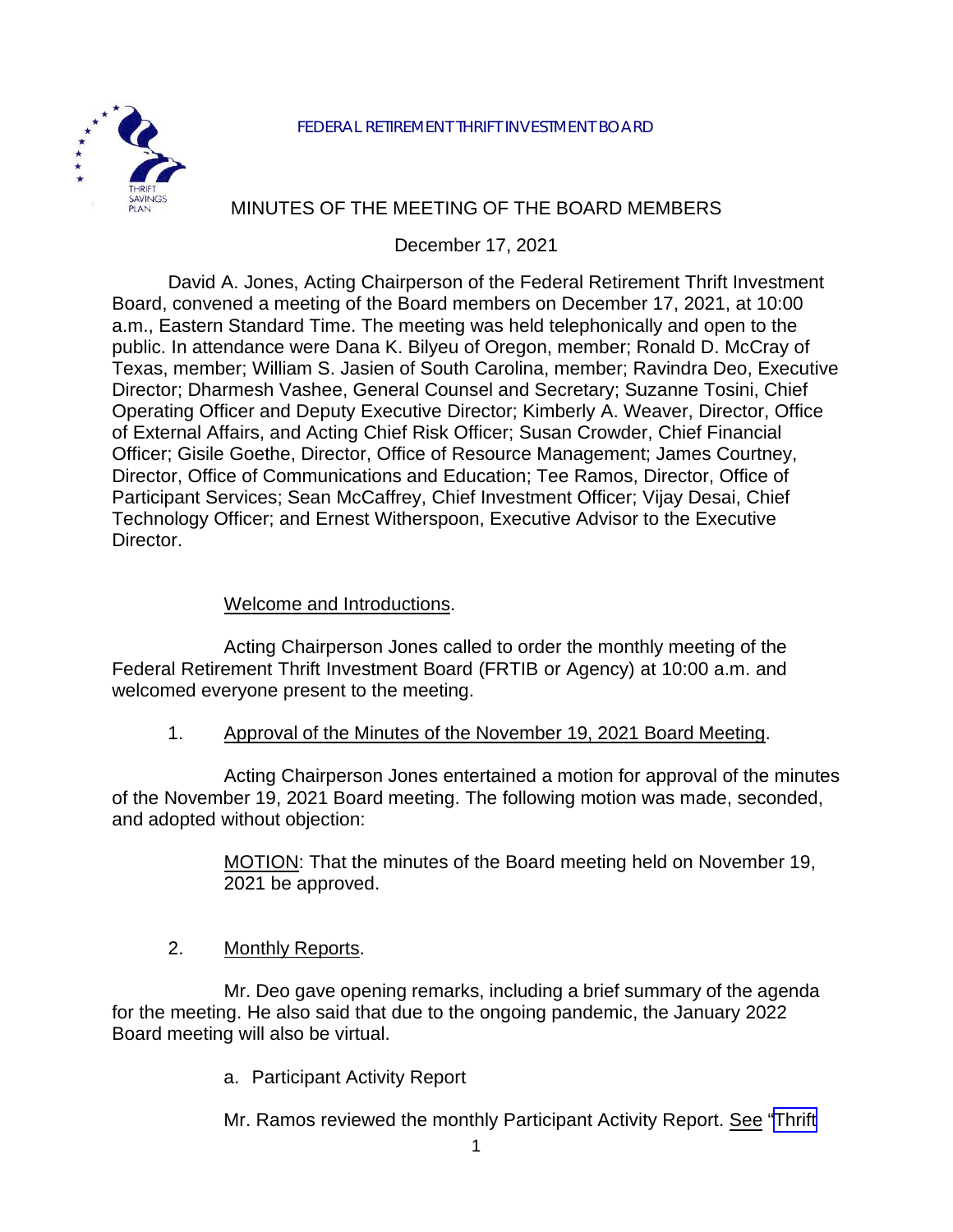

# MINUTES OF THE MEETING OF THE BOARD MEMBERS

### December 17, 2021

David A. Jones, Acting Chairperson of the Federal Retirement Thrift Investment Board, convened a meeting of the Board members on December 17, 2021, at 10:00 a.m., Eastern Standard Time. The meeting was held telephonically and open to the public. In attendance were Dana K. Bilyeu of Oregon, member; Ronald D. McCray of Texas, member; William S. Jasien of South Carolina, member; Ravindra Deo, Executive Director; Dharmesh Vashee, General Counsel and Secretary; Suzanne Tosini, Chief Operating Officer and Deputy Executive Director; Kimberly A. Weaver, Director, Office of External Affairs, and Acting Chief Risk Officer; Susan Crowder, Chief Financial Officer; Gisile Goethe, Director, Office of Resource Management; James Courtney, Director, Office of Communications and Education; Tee Ramos, Director, Office of Participant Services; Sean McCaffrey, Chief Investment Officer; Vijay Desai, Chief Technology Officer; and Ernest Witherspoon, Executive Advisor to the Executive Director.

#### Welcome and Introductions.

Acting Chairperson Jones called to order the monthly meeting of the Federal Retirement Thrift Investment Board (FRTIB or Agency) at 10:00 a.m. and welcomed everyone present to the meeting.

#### 1. Approval of the Minutes of the November 19, 2021 Board Meeting.

Acting Chairperson Jones entertained a motion for approval of the minutes of the November 19, 2021 Board meeting. The following motion was made, seconded, and adopted without objection:

> MOTION: That the minutes of the Board meeting held on November 19, 2021 be approved.

2. Monthly Reports.

Mr. Deo gave opening remarks, including a brief summary of the agenda for the meeting. He also said that due to the ongoing pandemic, the January 2022 Board meeting will also be virtual.

a. Participant Activity Report

Mr. Ramos reviewed the monthly Participant Activity Report. See ["Thrift](https://www.frtib.gov/pdf/minutes/2021/Dec/MM-2021Dec-Att1.pdf)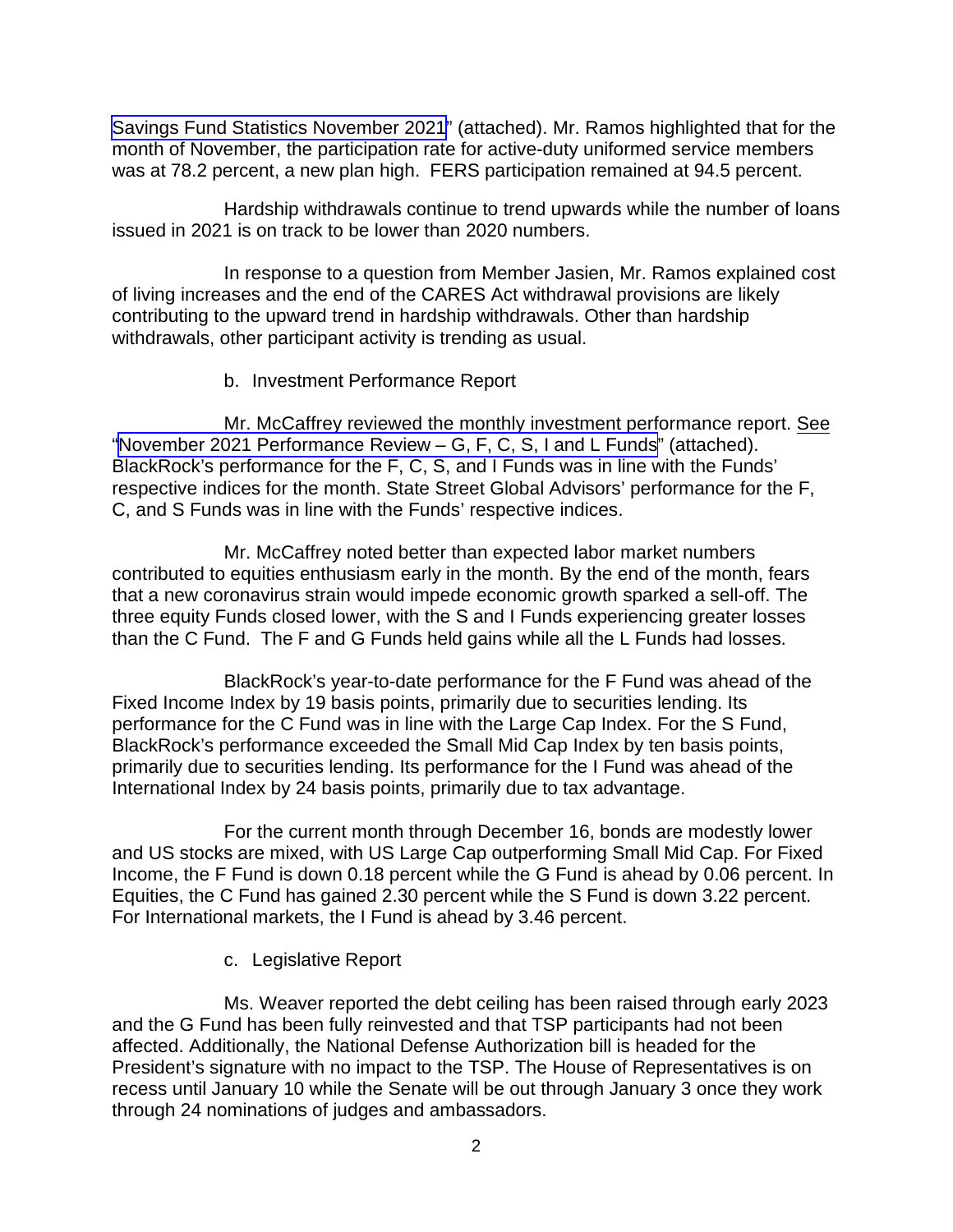[Savings Fund Statistics November 2021"](https://www.frtib.gov/pdf/minutes/2021/Dec/MM-2021Dec-Att1.pdf) (attached). Mr. Ramos highlighted that for the month of November, the participation rate for active-duty uniformed service members was at 78.2 percent, a new plan high. FERS participation remained at 94.5 percent.

Hardship withdrawals continue to trend upwards while the number of loans issued in 2021 is on track to be lower than 2020 numbers.

In response to a question from Member Jasien, Mr. Ramos explained cost of living increases and the end of the CARES Act withdrawal provisions are likely contributing to the upward trend in hardship withdrawals. Other than hardship withdrawals, other participant activity is trending as usual.

#### b. Investment Performance Report

Mr. McCaffrey reviewed the monthly investment performance report. See "November 2021 [Performance](https://www.frtib.gov/pdf/minutes/2021/Dec/MM-2021Dec-Att2.pdf) Review – G, F, C, S, I and L Funds" (attached). BlackRock's performance for the F, C, S, and I Funds was in line with the Funds' respective indices for the month. State Street Global Advisors' performance for the F, C, and S Funds was in line with the Funds' respective indices.

Mr. McCaffrey noted better than expected labor market numbers contributed to equities enthusiasm early in the month. By the end of the month, fears that a new coronavirus strain would impede economic growth sparked a sell-off. The three equity Funds closed lower, with the S and I Funds experiencing greater losses than the C Fund. The F and G Funds held gains while all the L Funds had losses.

BlackRock's year-to-date performance for the F Fund was ahead of the Fixed Income Index by 19 basis points, primarily due to securities lending. Its performance for the C Fund was in line with the Large Cap Index. For the S Fund, BlackRock's performance exceeded the Small Mid Cap Index by ten basis points, primarily due to securities lending. Its performance for the I Fund was ahead of the International Index by 24 basis points, primarily due to tax advantage.

For the current month through December 16, bonds are modestly lower and US stocks are mixed, with US Large Cap outperforming Small Mid Cap. For Fixed Income, the F Fund is down 0.18 percent while the G Fund is ahead by 0.06 percent. In Equities, the C Fund has gained 2.30 percent while the S Fund is down 3.22 percent. For International markets, the I Fund is ahead by 3.46 percent.

c. Legislative Report

Ms. Weaver reported the debt ceiling has been raised through early 2023 and the G Fund has been fully reinvested and that TSP participants had not been affected. Additionally, the National Defense Authorization bill is headed for the President's signature with no impact to the TSP. The House of Representatives is on recess until January 10 while the Senate will be out through January 3 once they work through 24 nominations of judges and ambassadors.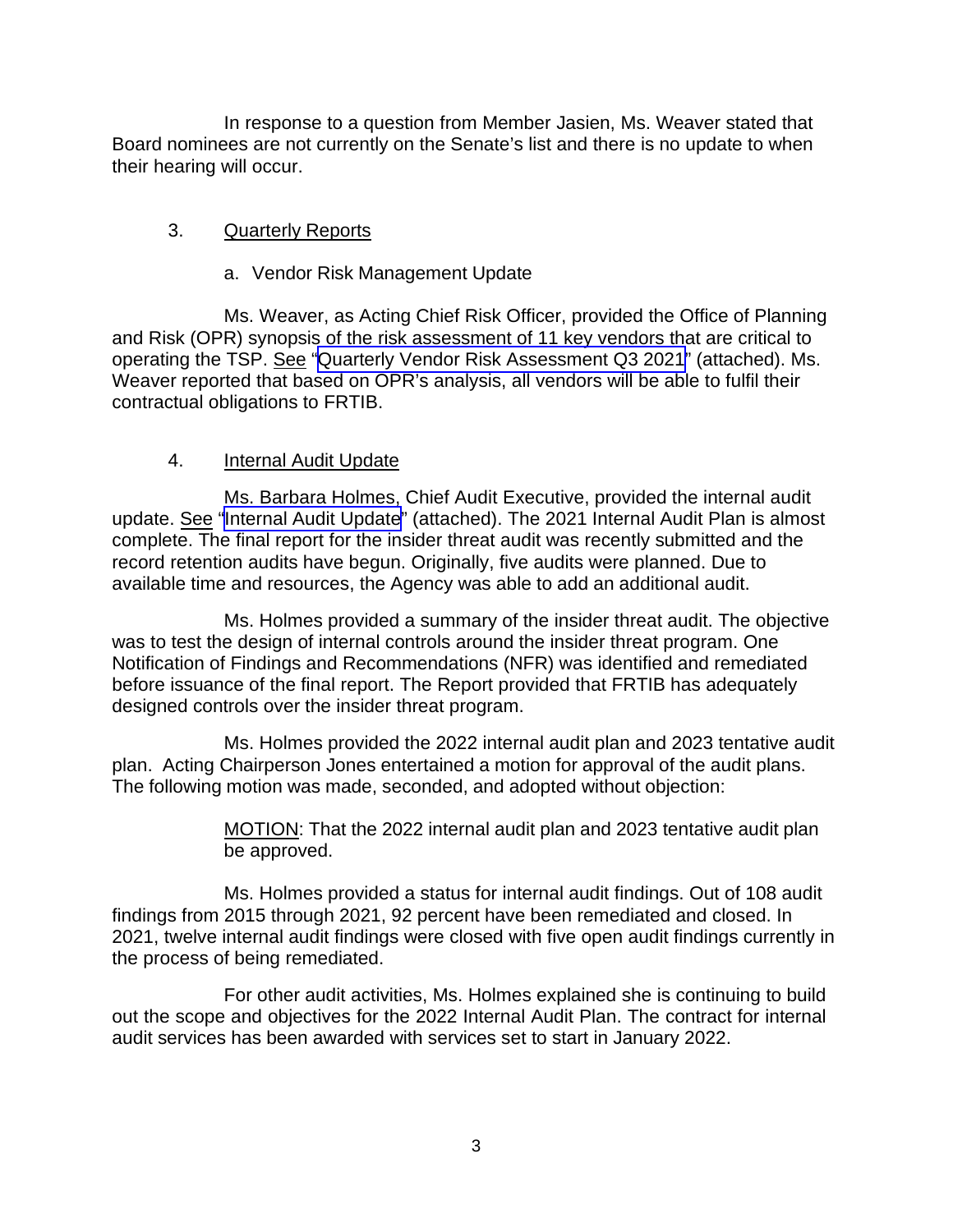In response to a question from Member Jasien, Ms. Weaver stated that Board nominees are not currently on the Senate's list and there is no update to when their hearing will occur.

## 3. Quarterly Reports

### a. Vendor Risk Management Update

Ms. Weaver, as Acting Chief Risk Officer, provided the Office of Planning and Risk (OPR) synopsis of the risk assessment of 11 key vendors that are critical to operating the TSP. See ["Quarterly Vendor Risk Assessment Q3 2021](https://www.frtib.gov/pdf/minutes/2021/Dec/MM-2021Dec-Att3.pdf)" (attached). Ms. Weaver reported that based on OPR's analysis, all vendors will be able to fulfil their contractual obligations to FRTIB.

## 4. Internal Audit Update

Ms. Barbara Holmes, Chief Audit Executive, provided the internal audit update. See "Internal [Audit Update"](https://www.frtib.gov/pdf/minutes/2021/Dec/MM-2021Dec-Att4.pdf) (attached). The 2021 Internal Audit Plan is almost complete. The final report for the insider threat audit was recently submitted and the record retention audits have begun. Originally, five audits were planned. Due to available time and resources, the Agency was able to add an additional audit.

Ms. Holmes provided a summary of the insider threat audit. The objective was to test the design of internal controls around the insider threat program. One Notification of Findings and Recommendations (NFR) was identified and remediated before issuance of the final report. The Report provided that FRTIB has adequately designed controls over the insider threat program.

Ms. Holmes provided the 2022 internal audit plan and 2023 tentative audit plan. Acting Chairperson Jones entertained a motion for approval of the audit plans. The following motion was made, seconded, and adopted without objection:

> MOTION: That the 2022 internal audit plan and 2023 tentative audit plan be approved.

Ms. Holmes provided a status for internal audit findings. Out of 108 audit findings from 2015 through 2021, 92 percent have been remediated and closed. In 2021, twelve internal audit findings were closed with five open audit findings currently in the process of being remediated.

For other audit activities, Ms. Holmes explained she is continuing to build out the scope and objectives for the 2022 Internal Audit Plan. The contract for internal audit services has been awarded with services set to start in January 2022.